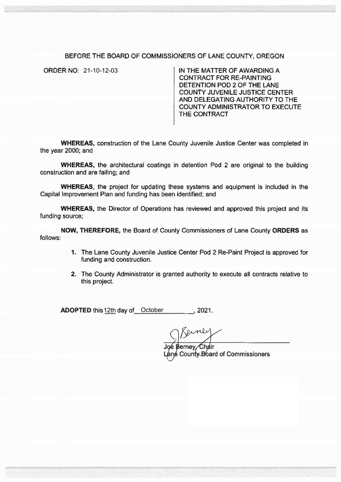## BEFORE THE BOARD OF COMMISSIONERS OF LANE COUNTY, OREGON

ORDER NO: 21-10-12-03

IN THE MATTER OF AWARDING A CONTRACT FOR RE-PAINTING DETENTION POD 2 OF THE LANE COUNTY JUVENILE JUSTICE CENTER AND DELEGATING AUTHORITY TO THE COUNTY ADMINISTRATOR TO EXECUTE THE CONTRACT

**WHEREAS,** construction of the Lane County Juvenile Justice Center was completed in the year 2000; and

**WHEREAS,** the architectural coatings in detention Pod 2 are original to the building construction and are failing; and

**WHEREAS,** the project for updating these systems and equipment is included in the Capital Improvement Plan and funding has been identified; and

**WHEREAS,** the Director of Operations has reviewed and approved this project and its funding source;

**NOW, THEREFORE,** the Board of County Commissioners of Lane County **ORDERS** as follows:

- **1.** The Lane County Juvenile Justice Center Pod 2 Re-Paint Project is approved for funding and construction.
- 2. The County Administrator is granted authority to execute all contracts relative to this project.

**ADOPTED** this 12th day of October 2021.

J Berney<br>Berney, Chair

**e County Board of Commissioners**